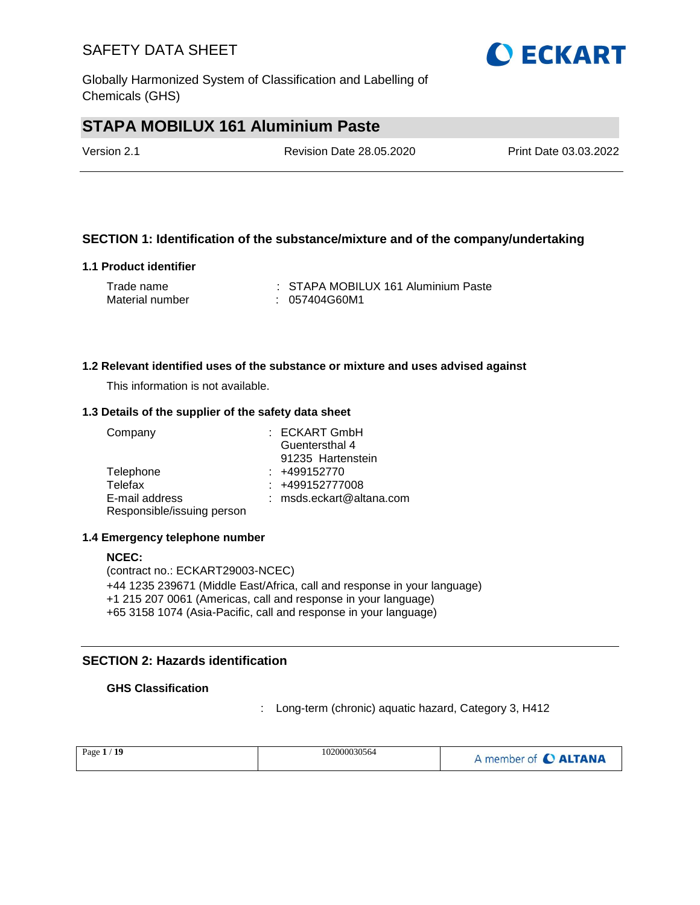Globally Harmonized System of Classification and Labelling of Chemicals (GHS)

## **STAPA MOBILUX 161 Aluminium Paste**

| Version 2.1 | Revision Date 28.05.2020 | Print Date 03.03.2022 |
|-------------|--------------------------|-----------------------|
|             |                          |                       |

### **SECTION 1: Identification of the substance/mixture and of the company/undertaking**

### **1.1 Product identifier**

| Trade name      | : STAPA MOBILUX 161 Aluminium Paste |
|-----------------|-------------------------------------|
| Material number | : 057404G60M1                       |

#### **1.2 Relevant identified uses of the substance or mixture and uses advised against**

This information is not available.

#### **1.3 Details of the supplier of the safety data sheet**

| Company                    | : ECKART GmbH            |
|----------------------------|--------------------------|
|                            | Guentersthal 4           |
|                            | 91235 Hartenstein        |
| Telephone                  | $: +499152770$           |
| Telefax                    | : +499152777008          |
| E-mail address             | : msds.eckart@altana.com |
| Responsible/issuing person |                          |

#### **1.4 Emergency telephone number**

(contract no.: ECKART29003-NCEC) +44 1235 239671 (Middle East/Africa, call and response in your language) +1 215 207 0061 (Americas, call and response in your language) +65 3158 1074 (Asia-Pacific, call and response in your language)

### **SECTION 2: Hazards identification**

### **GHS Classification**

: Long-term (chronic) aquatic hazard, Category 3, H412

| -19<br>Page $1/$ | 102000030564 | A member of C ALTANA |
|------------------|--------------|----------------------|
|                  |              |                      |



**NCEC:**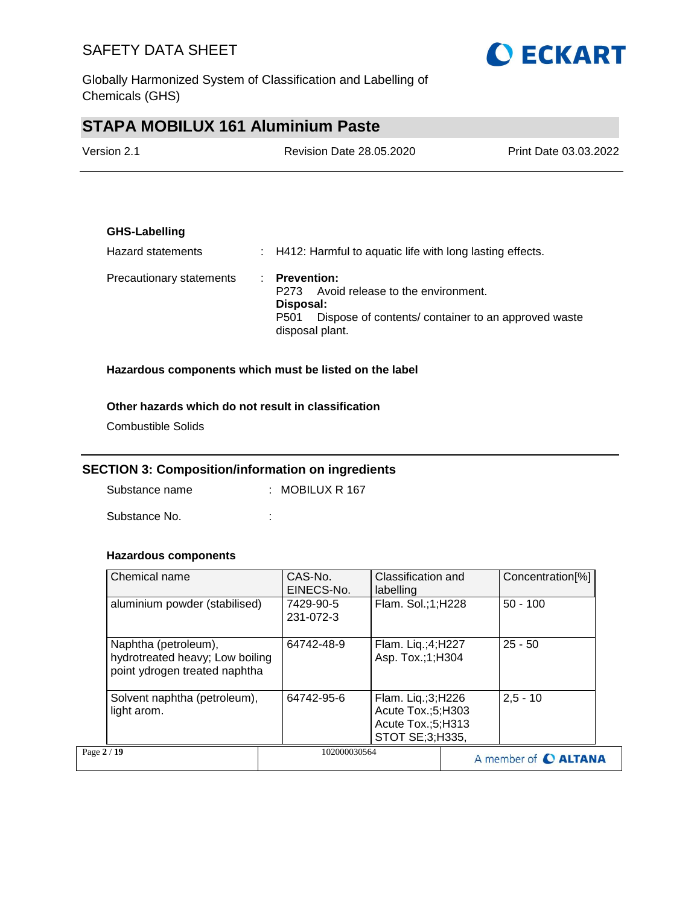Globally Harmonized System of Classification and Labelling of Chemicals (GHS)

# **STAPA MOBILUX 161 Aluminium Paste**

| Version 2.1 | <b>Revision Date 28.05.2020</b> | Print Date 03.03.2022 |
|-------------|---------------------------------|-----------------------|
|             |                                 |                       |

### **GHS-Labelling**

| Hazard statements        | $\therefore$ H412: Harmful to aquatic life with long lasting effects.                                                                                                |
|--------------------------|----------------------------------------------------------------------------------------------------------------------------------------------------------------------|
| Precautionary statements | $\therefore$ Prevention:<br>Avoid release to the environment.<br>P273<br>Disposal:<br>Dispose of contents/ container to an approved waste<br>P501<br>disposal plant. |

### **Hazardous components which must be listed on the label**

### **Other hazards which do not result in classification**

Combustible Solids

### **SECTION 3: Composition/information on ingredients**

Substance name : MOBILUX R 167

Substance No. **:**  $\qquad \qquad$  :

### **Hazardous components**

| Chemical name                                                                            | CAS-No.<br>EINECS-No.  | Classification and<br>labelling                                                | Concentration[%]     |
|------------------------------------------------------------------------------------------|------------------------|--------------------------------------------------------------------------------|----------------------|
| aluminium powder (stabilised)                                                            | 7429-90-5<br>231-072-3 | Flam. Sol.;1;H228                                                              | $50 - 100$           |
| Naphtha (petroleum),<br>hydrotreated heavy; Low boiling<br>point ydrogen treated naphtha | 64742-48-9             | Flam. Liq.;4;H227<br>Asp. Tox.;1;H304                                          | $25 - 50$            |
| Solvent naphtha (petroleum),<br>light arom.                                              | 64742-95-6             | Flam. Liq.;3;H226<br>Acute Tox.;5;H303<br>Acute Tox.;5;H313<br>STOT SE;3;H335, | $2,5 - 10$           |
| Page 2 / 19                                                                              | 102000030564           |                                                                                | A member of C ALTANA |

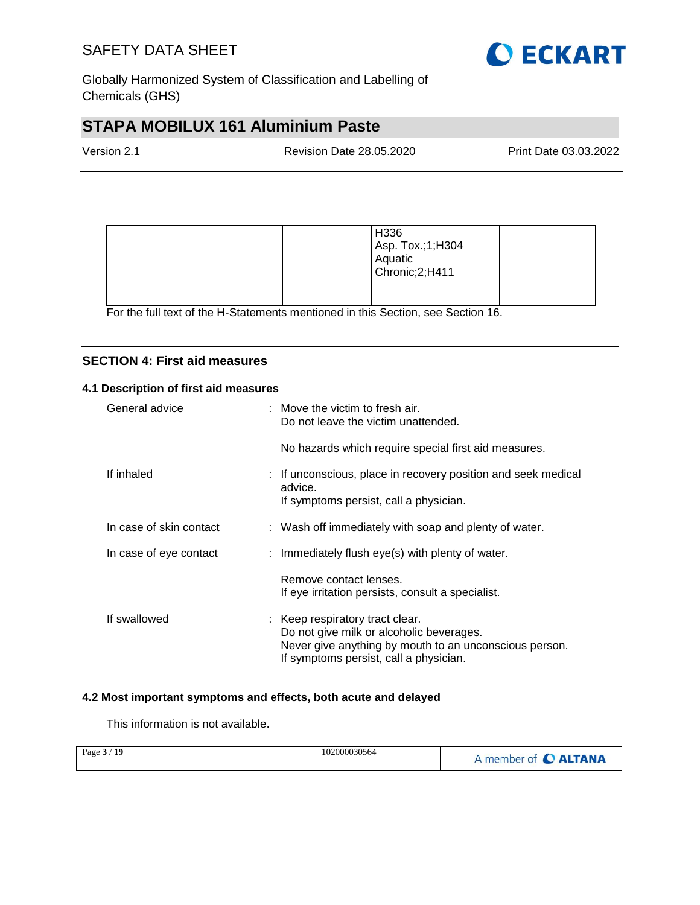

Globally Harmonized System of Classification and Labelling of Chemicals (GHS)

# **STAPA MOBILUX 161 Aluminium Paste**

| Version 2.1 | Revision Date 28.05.2020 | Print Date 03.03.2022 |
|-------------|--------------------------|-----------------------|
|             |                          |                       |

|  | H336<br>Asp. Tox.;1;H304<br>Aquatic<br>Chronic; 2; H411 |  |
|--|---------------------------------------------------------|--|
|--|---------------------------------------------------------|--|

For the full text of the H-Statements mentioned in this Section, see Section 16.

### **SECTION 4: First aid measures**

### **4.1 Description of first aid measures**

| General advice          | $:$ Move the victim to fresh air.<br>Do not leave the victim unattended.                                                                                                        |
|-------------------------|---------------------------------------------------------------------------------------------------------------------------------------------------------------------------------|
|                         | No hazards which require special first aid measures.                                                                                                                            |
| If inhaled              | : If unconscious, place in recovery position and seek medical<br>advice.<br>If symptoms persist, call a physician.                                                              |
| In case of skin contact | : Wash off immediately with soap and plenty of water.                                                                                                                           |
| In case of eye contact  | : Immediately flush eye(s) with plenty of water.                                                                                                                                |
|                         | Remove contact lenses.<br>If eye irritation persists, consult a specialist.                                                                                                     |
| If swallowed            | : Keep respiratory tract clear.<br>Do not give milk or alcoholic beverages.<br>Never give anything by mouth to an unconscious person.<br>If symptoms persist, call a physician. |

### **4.2 Most important symptoms and effects, both acute and delayed**

This information is not available.

| Page $3/19$ | 102000030564 | A member of C ALTANA |
|-------------|--------------|----------------------|
|-------------|--------------|----------------------|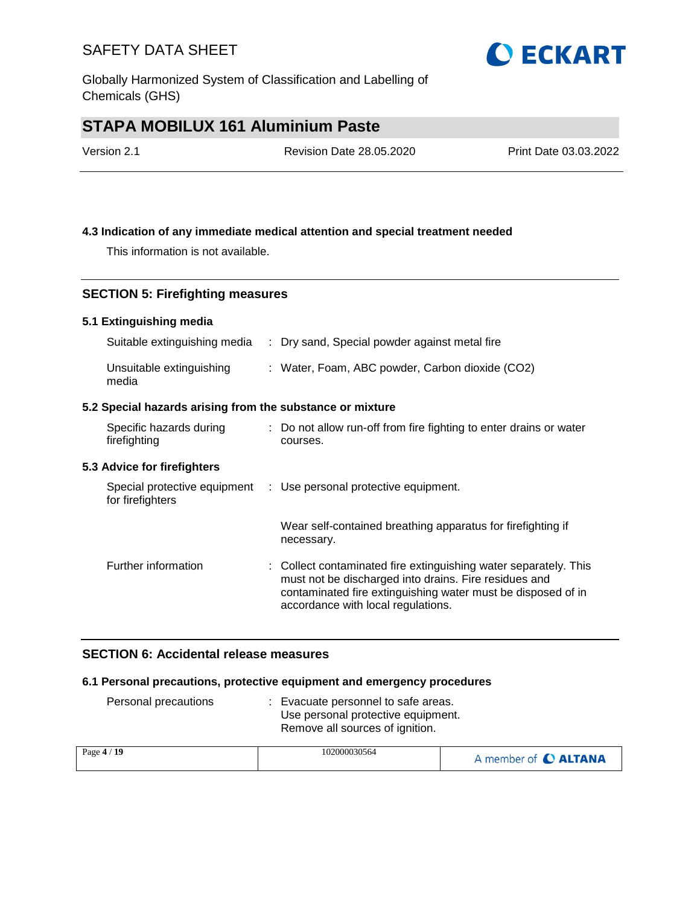Globally Harmonized System of Classification and Labelling of Chemicals (GHS)

## **STAPA MOBILUX 161 Aluminium Paste**

| Version 2.1 | <b>Revision Date 28.05.2020</b> | Print Date 03.03.2022 |
|-------------|---------------------------------|-----------------------|
|             |                                 |                       |

**O ECKART** 

### **4.3 Indication of any immediate medical attention and special treatment needed**

This information is not available.

### **SECTION 5: Firefighting measures**

### **5.1 Extinguishing media**

| Suitable extinguishing media                              |  | : Dry sand, Special powder against metal fire                                                                                                                                                                                   |  |  |  |
|-----------------------------------------------------------|--|---------------------------------------------------------------------------------------------------------------------------------------------------------------------------------------------------------------------------------|--|--|--|
| Unsuitable extinguishing<br>media                         |  | : Water, Foam, ABC powder, Carbon dioxide (CO2)                                                                                                                                                                                 |  |  |  |
| 5.2 Special hazards arising from the substance or mixture |  |                                                                                                                                                                                                                                 |  |  |  |
| Specific hazards during<br>firefighting                   |  | : Do not allow run-off from fire fighting to enter drains or water<br>courses.                                                                                                                                                  |  |  |  |
| 5.3 Advice for firefighters                               |  |                                                                                                                                                                                                                                 |  |  |  |
| Special protective equipment<br>for firefighters          |  | : Use personal protective equipment.                                                                                                                                                                                            |  |  |  |
|                                                           |  | Wear self-contained breathing apparatus for firefighting if<br>necessary.                                                                                                                                                       |  |  |  |
| Further information                                       |  | : Collect contaminated fire extinguishing water separately. This<br>must not be discharged into drains. Fire residues and<br>contaminated fire extinguishing water must be disposed of in<br>accordance with local regulations. |  |  |  |

### **SECTION 6: Accidental release measures**

### **6.1 Personal precautions, protective equipment and emergency procedures**

| Personal precautions | Evacuate personnel to safe areas.<br>Use personal protective equipment.<br>Remove all sources of ignition. |                      |
|----------------------|------------------------------------------------------------------------------------------------------------|----------------------|
| Page 4 / 19          | 102000030564                                                                                               | A member of C ALTANA |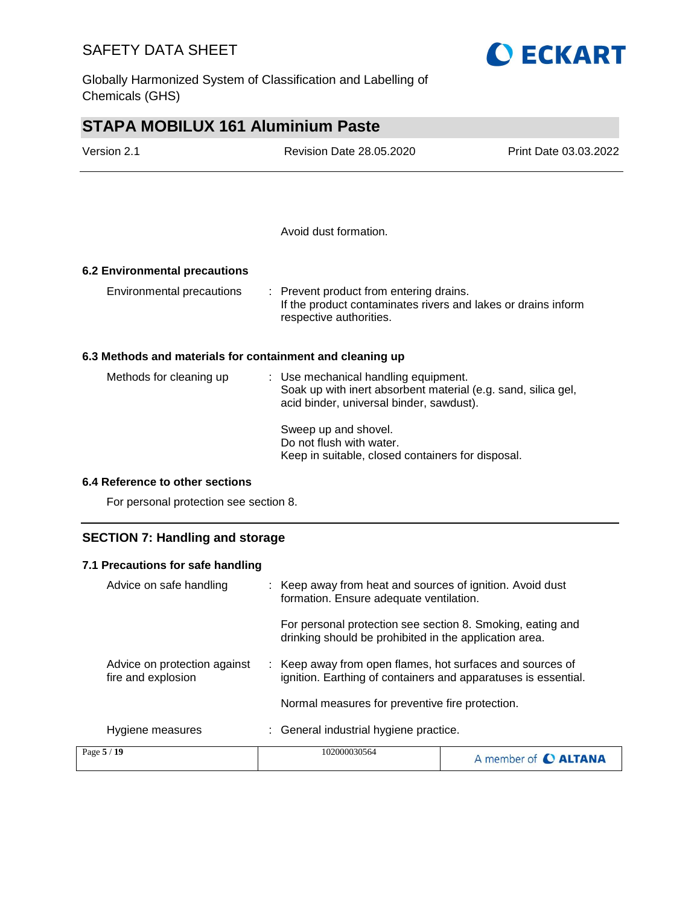Globally Harmonized System of Classification and Labelling of Chemicals (GHS)

# **STAPA MOBILUX 161 Aluminium Paste**

| Version 2.1                                               | <b>Revision Date 28.05.2020</b>                                                                                                                   | Print Date 03.03.2022 |
|-----------------------------------------------------------|---------------------------------------------------------------------------------------------------------------------------------------------------|-----------------------|
|                                                           |                                                                                                                                                   |                       |
|                                                           | Avoid dust formation.                                                                                                                             |                       |
| 6.2 Environmental precautions                             |                                                                                                                                                   |                       |
| Environmental precautions                                 | : Prevent product from entering drains.<br>If the product contaminates rivers and lakes or drains inform<br>respective authorities.               |                       |
| 6.3 Methods and materials for containment and cleaning up |                                                                                                                                                   |                       |
| Methods for cleaning up                                   | : Use mechanical handling equipment.<br>Soak up with inert absorbent material (e.g. sand, silica gel,<br>acid binder, universal binder, sawdust). |                       |

Sweep up and shovel. Do not flush with water. Keep in suitable, closed containers for disposal.

### **6.4 Reference to other sections**

For personal protection see section 8.

### **SECTION 7: Handling and storage**

| 7.1 Precautions for safe handling                  |                                                                                                                             |                      |  |  |
|----------------------------------------------------|-----------------------------------------------------------------------------------------------------------------------------|----------------------|--|--|
| Advice on safe handling                            | : Keep away from heat and sources of ignition. Avoid dust<br>formation. Ensure adequate ventilation.                        |                      |  |  |
|                                                    | For personal protection see section 8. Smoking, eating and<br>drinking should be prohibited in the application area.        |                      |  |  |
| Advice on protection against<br>fire and explosion | : Keep away from open flames, hot surfaces and sources of<br>ignition. Earthing of containers and apparatuses is essential. |                      |  |  |
|                                                    | Normal measures for preventive fire protection.                                                                             |                      |  |  |
| Hygiene measures                                   | : General industrial hygiene practice.                                                                                      |                      |  |  |
| Page 5 / 19                                        | 102000030564                                                                                                                | A member of C ALTANA |  |  |

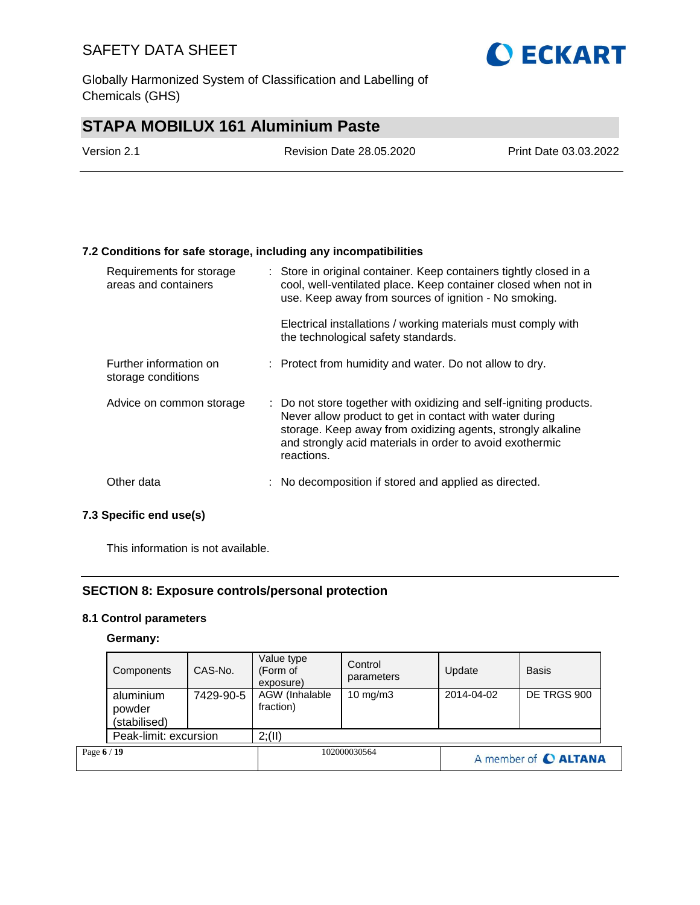Globally Harmonized System of Classification and Labelling of Chemicals (GHS)

# **STAPA MOBILUX 161 Aluminium Paste**

| Version 2.1 | <b>Revision Date 28.05.2020</b> | Print Date 03.03.2022 |
|-------------|---------------------------------|-----------------------|
|             |                                 |                       |

### **7.2 Conditions for safe storage, including any incompatibilities**

| Requirements for storage<br>areas and containers | : Store in original container. Keep containers tightly closed in a<br>cool, well-ventilated place. Keep container closed when not in<br>use. Keep away from sources of ignition - No smoking.                                                                          |
|--------------------------------------------------|------------------------------------------------------------------------------------------------------------------------------------------------------------------------------------------------------------------------------------------------------------------------|
|                                                  | Electrical installations / working materials must comply with<br>the technological safety standards.                                                                                                                                                                   |
| Further information on<br>storage conditions     | : Protect from humidity and water. Do not allow to dry.                                                                                                                                                                                                                |
| Advice on common storage                         | : Do not store together with oxidizing and self-igniting products.<br>Never allow product to get in contact with water during<br>storage. Keep away from oxidizing agents, strongly alkaline<br>and strongly acid materials in order to avoid exothermic<br>reactions. |
| Other data                                       | : No decomposition if stored and applied as directed.                                                                                                                                                                                                                  |

### **7.3 Specific end use(s)**

This information is not available.

### **SECTION 8: Exposure controls/personal protection**

### **8.1 Control parameters**

#### **Germany:**

|             | Components                          | CAS-No.   | Value type<br>(Form of<br>exposure) | Control<br>parameters | Update     | <b>Basis</b>         |
|-------------|-------------------------------------|-----------|-------------------------------------|-----------------------|------------|----------------------|
|             | aluminium<br>powder<br>(stabilised) | 7429-90-5 | AGW (Inhalable<br>fraction)         | 10 mg/m $3$           | 2014-04-02 | DE TRGS 900          |
|             | Peak-limit: excursion               |           | 2; (II)                             |                       |            |                      |
| Page 6 / 19 |                                     |           |                                     | 102000030564          |            | A member of C ALTANA |

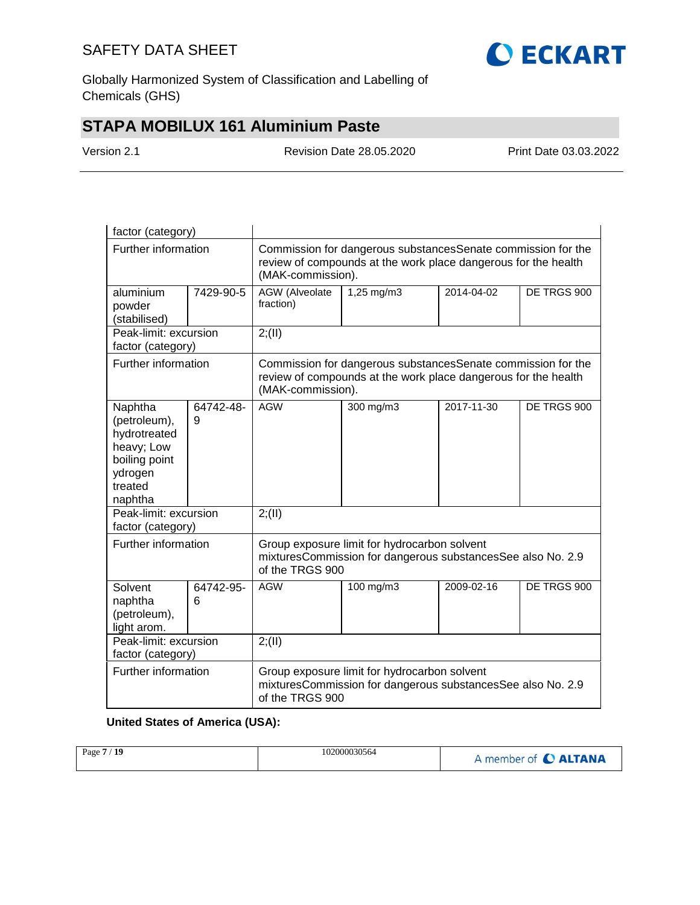

Globally Harmonized System of Classification and Labelling of Chemicals (GHS)

## **STAPA MOBILUX 161 Aluminium Paste**

Version 2.1 Revision Date 28.05.2020 Print Date 03.03.2022

| factor (category)                                                                                       |                |                                                                                                                                                      |                                                                                                                                |            |             |  |
|---------------------------------------------------------------------------------------------------------|----------------|------------------------------------------------------------------------------------------------------------------------------------------------------|--------------------------------------------------------------------------------------------------------------------------------|------------|-------------|--|
| Further information                                                                                     |                | Commission for dangerous substances Senate commission for the<br>review of compounds at the work place dangerous for the health<br>(MAK-commission). |                                                                                                                                |            |             |  |
| aluminium<br>powder<br>(stabilised)                                                                     | 7429-90-5      | <b>AGW</b> (Alveolate<br>fraction)                                                                                                                   | $1,25$ mg/m3                                                                                                                   | 2014-04-02 | DE TRGS 900 |  |
| Peak-limit: excursion<br>factor (category)                                                              |                | 2; (II)                                                                                                                                              |                                                                                                                                |            |             |  |
| Further information                                                                                     |                | (MAK-commission).                                                                                                                                    | Commission for dangerous substancesSenate commission for the<br>review of compounds at the work place dangerous for the health |            |             |  |
| Naphtha<br>(petroleum),<br>hydrotreated<br>heavy; Low<br>boiling point<br>ydrogen<br>treated<br>naphtha | 64742-48-<br>9 | <b>AGW</b>                                                                                                                                           | 300 mg/m3                                                                                                                      | 2017-11-30 | DE TRGS 900 |  |
| Peak-limit: excursion<br>factor (category)                                                              |                | 2; (II)                                                                                                                                              |                                                                                                                                |            |             |  |
| Further information                                                                                     |                | Group exposure limit for hydrocarbon solvent<br>mixturesCommission for dangerous substancesSee also No. 2.9<br>of the TRGS 900                       |                                                                                                                                |            |             |  |
| Solvent<br>naphtha<br>(petroleum),<br>light arom.                                                       | 64742-95-<br>6 | <b>AGW</b>                                                                                                                                           | 100 mg/m3                                                                                                                      | 2009-02-16 | DE TRGS 900 |  |
| Peak-limit: excursion<br>factor (category)                                                              |                | 2; (II)                                                                                                                                              |                                                                                                                                |            |             |  |
| Further information                                                                                     |                | Group exposure limit for hydrocarbon solvent<br>mixturesCommission for dangerous substancesSee also No. 2.9<br>of the TRGS 900                       |                                                                                                                                |            |             |  |

### **United States of America (USA):**

| 102000030564<br>/19<br>Page 7 | A member of C ALTANA |
|-------------------------------|----------------------|
|                               |                      |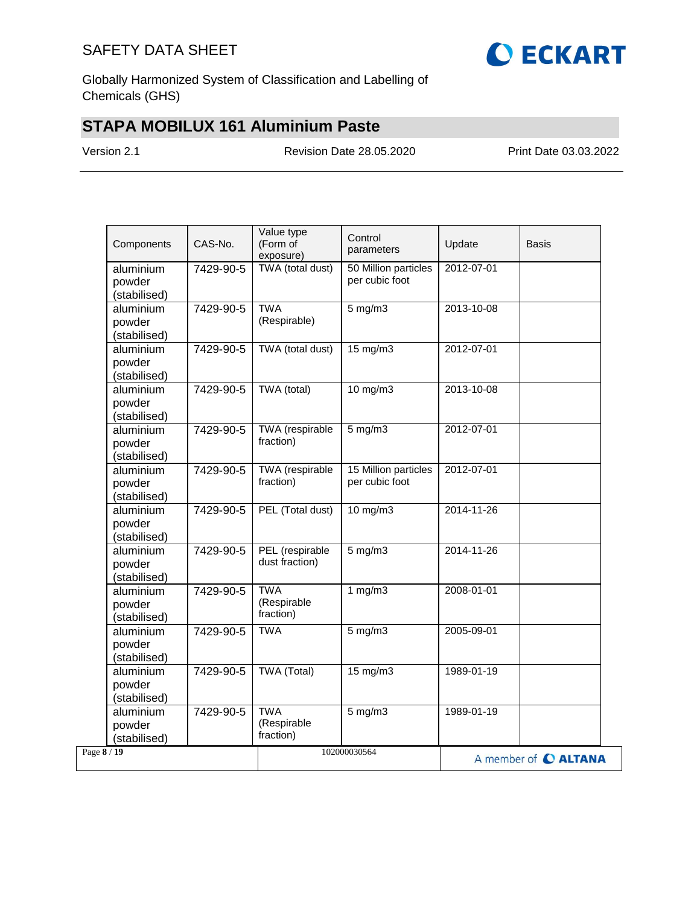

Globally Harmonized System of Classification and Labelling of Chemicals (GHS)

## **STAPA MOBILUX 161 Aluminium Paste**

Version 2.1 Revision Date 28.05.2020 Print Date 03.03.2022

| Components                          | CAS-No.   | Value type<br>(Form of<br>exposure)    | Control<br>parameters                  | Update     | <b>Basis</b>         |
|-------------------------------------|-----------|----------------------------------------|----------------------------------------|------------|----------------------|
| aluminium<br>powder<br>(stabilised) | 7429-90-5 | TWA (total dust)                       | 50 Million particles<br>per cubic foot | 2012-07-01 |                      |
| aluminium<br>powder<br>(stabilised) | 7429-90-5 | <b>TWA</b><br>(Respirable)             | $5$ mg/m $3$                           | 2013-10-08 |                      |
| aluminium<br>powder<br>(stabilised) | 7429-90-5 | TWA (total dust)                       | $15 \text{ mg/m}$                      | 2012-07-01 |                      |
| aluminium<br>powder<br>(stabilised) | 7429-90-5 | TWA (total)                            | 10 mg/m3                               | 2013-10-08 |                      |
| aluminium<br>powder<br>(stabilised) | 7429-90-5 | TWA (respirable<br>fraction)           | $5$ mg/m $3$                           | 2012-07-01 |                      |
| aluminium<br>powder<br>(stabilised) | 7429-90-5 | TWA (respirable<br>fraction)           | 15 Million particles<br>per cubic foot | 2012-07-01 |                      |
| aluminium<br>powder<br>(stabilised) | 7429-90-5 | PEL (Total dust)                       | 10 mg/m3                               | 2014-11-26 |                      |
| aluminium<br>powder<br>(stabilised) | 7429-90-5 | PEL (respirable<br>dust fraction)      | $5$ mg/m $3$                           | 2014-11-26 |                      |
| aluminium<br>powder<br>(stabilised) | 7429-90-5 | <b>TWA</b><br>(Respirable<br>fraction) | 1 $mg/m3$                              | 2008-01-01 |                      |
| aluminium<br>powder<br>(stabilised) | 7429-90-5 | <b>TWA</b>                             | $5$ mg/m $3$                           | 2005-09-01 |                      |
| aluminium<br>powder<br>(stabilised) | 7429-90-5 | <b>TWA (Total)</b>                     | 15 mg/m3                               | 1989-01-19 |                      |
| aluminium<br>powder<br>(stabilised) | 7429-90-5 | <b>TWA</b><br>(Respirable<br>fraction) | $5$ mg/m $3$                           | 1989-01-19 |                      |
| Page 8 / 19                         |           |                                        | 102000030564                           |            | A member of C ALTANA |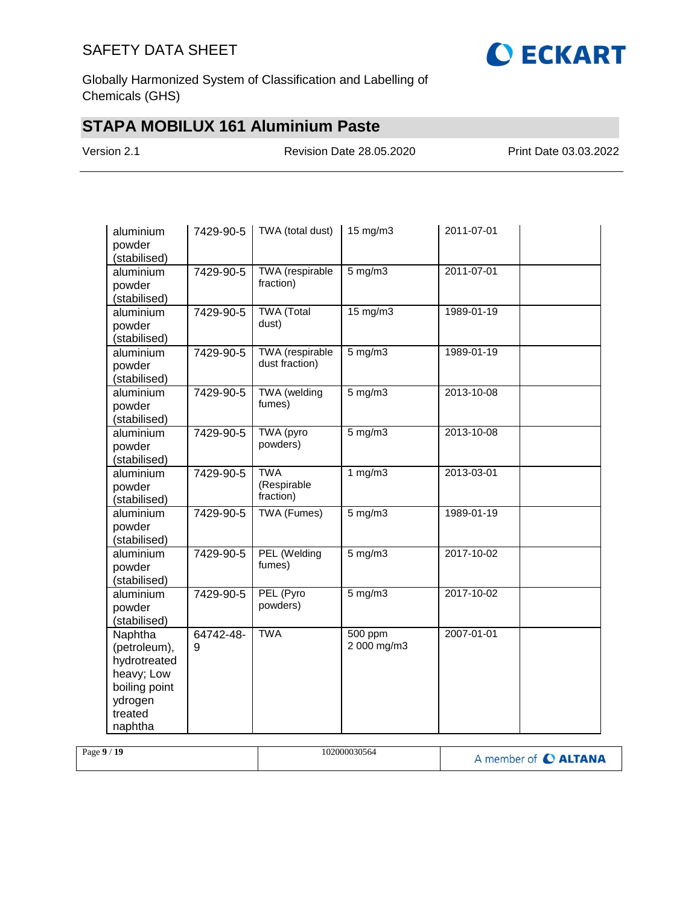

Globally Harmonized System of Classification and Labelling of Chemicals (GHS)

## **STAPA MOBILUX 161 Aluminium Paste**

Version 2.1 Revision Date 28.05.2020 Print Date 03.03.2022

| aluminium<br>powder<br>(stabilised)                                                                     | 7429-90-5      | TWA (total dust)                         | 15 mg/m3               | 2011-07-01 |  |
|---------------------------------------------------------------------------------------------------------|----------------|------------------------------------------|------------------------|------------|--|
| aluminium<br>powder<br>(stabilised)                                                                     | 7429-90-5      | TWA (respirable<br>fraction)             | $5$ mg/m $3$           | 2011-07-01 |  |
| aluminium<br>powder<br>(stabilised)                                                                     | 7429-90-5      | <b>TWA</b> (Total<br>dust)               | 15 mg/m3               | 1989-01-19 |  |
| aluminium<br>powder<br>(stabilised)                                                                     | 7429-90-5      | <b>TWA</b> (respirable<br>dust fraction) | $5$ mg/m $3$           | 1989-01-19 |  |
| aluminium<br>powder<br>(stabilised)                                                                     | 7429-90-5      | TWA (welding<br>fumes)                   | $5$ mg/m $3$           | 2013-10-08 |  |
| aluminium<br>powder<br>(stabilised)                                                                     | 7429-90-5      | TWA (pyro<br>powders)                    | $5$ mg/m $3$           | 2013-10-08 |  |
| aluminium<br>powder<br>(stabilised)                                                                     | 7429-90-5      | <b>TWA</b><br>(Respirable<br>fraction)   | 1 $mg/m3$              | 2013-03-01 |  |
| aluminium<br>powder<br>(stabilised)                                                                     | 7429-90-5      | TWA (Fumes)                              | $5$ mg/m $3$           | 1989-01-19 |  |
| aluminium<br>powder<br>(stabilised)                                                                     | 7429-90-5      | PEL (Welding<br>fumes)                   | $5$ mg/m $3$           | 2017-10-02 |  |
| aluminium<br>powder<br>(stabilised)                                                                     | 7429-90-5      | PEL (Pyro<br>powders)                    | $5$ mg/m $3$           | 2017-10-02 |  |
| Naphtha<br>(petroleum),<br>hydrotreated<br>heavy; Low<br>boiling point<br>ydrogen<br>treated<br>naphtha | 64742-48-<br>9 | <b>TWA</b>                               | 500 ppm<br>2 000 mg/m3 | 2007-01-01 |  |

| Page $9/19$ | 102000030564 | A member of C ALTANA |
|-------------|--------------|----------------------|
|-------------|--------------|----------------------|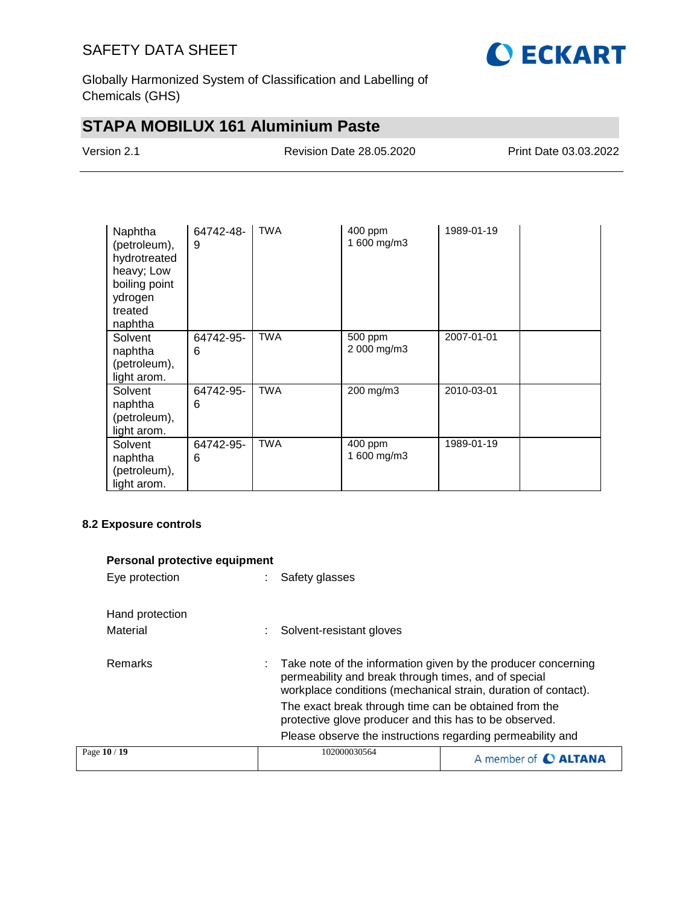

Globally Harmonized System of Classification and Labelling of Chemicals (GHS)

## **STAPA MOBILUX 161 Aluminium Paste**

| Version 2.1 |  |
|-------------|--|
|-------------|--|

Revision Date 28.05.2020 Print Date 03.03.2022

| Naphtha<br>(petroleum),<br>hydrotreated<br>heavy; Low<br>boiling point<br>ydrogen<br>treated<br>naphtha | 64742-48-<br>9 | <b>TWA</b> | 400 ppm<br>1 600 mg/m3 | 1989-01-19 |  |
|---------------------------------------------------------------------------------------------------------|----------------|------------|------------------------|------------|--|
| Solvent<br>naphtha<br>(petroleum),<br>light arom.                                                       | 64742-95-<br>6 | <b>TWA</b> | 500 ppm<br>2 000 mg/m3 | 2007-01-01 |  |
| Solvent<br>naphtha<br>(petroleum),<br>light arom.                                                       | 64742-95-<br>6 | <b>TWA</b> | 200 mg/m3              | 2010-03-01 |  |
| Solvent<br>naphtha<br>(petroleum),<br>light arom.                                                       | 64742-95-<br>6 | <b>TWA</b> | 400 ppm<br>1 600 mg/m3 | 1989-01-19 |  |

### **8.2 Exposure controls**

| Personal protective equipment |                                                                                                                                                                                         |                      |
|-------------------------------|-----------------------------------------------------------------------------------------------------------------------------------------------------------------------------------------|----------------------|
| Eye protection                | Safety glasses                                                                                                                                                                          |                      |
| Hand protection               |                                                                                                                                                                                         |                      |
| Material                      | Solvent-resistant gloves                                                                                                                                                                |                      |
| Remarks                       | Take note of the information given by the producer concerning<br>permeability and break through times, and of special<br>workplace conditions (mechanical strain, duration of contact). |                      |
|                               | The exact break through time can be obtained from the<br>protective glove producer and this has to be observed.                                                                         |                      |
|                               | Please observe the instructions regarding permeability and                                                                                                                              |                      |
| Page 10 / 19                  | 102000030564                                                                                                                                                                            | A member of C ALTANA |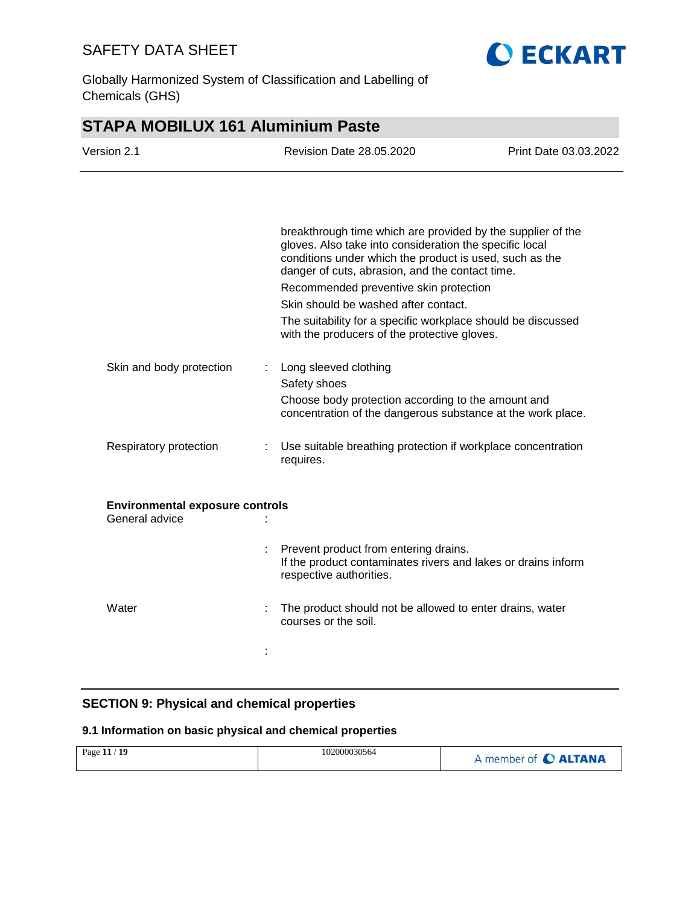

Globally Harmonized System of Classification and Labelling of Chemicals (GHS)

## **STAPA MOBILUX 161 Aluminium Paste**

| Version 2.1                                              | <b>Revision Date 28.05.2020</b>                                                                                                                                                                                                      | Print Date 03.03.2022 |
|----------------------------------------------------------|--------------------------------------------------------------------------------------------------------------------------------------------------------------------------------------------------------------------------------------|-----------------------|
|                                                          |                                                                                                                                                                                                                                      |                       |
|                                                          | breakthrough time which are provided by the supplier of the<br>gloves. Also take into consideration the specific local<br>conditions under which the product is used, such as the<br>danger of cuts, abrasion, and the contact time. |                       |
|                                                          | Recommended preventive skin protection                                                                                                                                                                                               |                       |
|                                                          | Skin should be washed after contact.                                                                                                                                                                                                 |                       |
|                                                          | The suitability for a specific workplace should be discussed<br>with the producers of the protective gloves.                                                                                                                         |                       |
| Skin and body protection                                 | Long sleeved clothing<br>÷                                                                                                                                                                                                           |                       |
|                                                          | Safety shoes                                                                                                                                                                                                                         |                       |
|                                                          | Choose body protection according to the amount and<br>concentration of the dangerous substance at the work place.                                                                                                                    |                       |
| Respiratory protection                                   | Use suitable breathing protection if workplace concentration<br>÷<br>requires.                                                                                                                                                       |                       |
| <b>Environmental exposure controls</b><br>General advice |                                                                                                                                                                                                                                      |                       |
|                                                          |                                                                                                                                                                                                                                      |                       |
|                                                          | Prevent product from entering drains.<br>If the product contaminates rivers and lakes or drains inform<br>respective authorities.                                                                                                    |                       |
| Water                                                    | The product should not be allowed to enter drains, water<br>courses or the soil.                                                                                                                                                     |                       |
|                                                          |                                                                                                                                                                                                                                      |                       |

### **SECTION 9: Physical and chemical properties**

### **9.1 Information on basic physical and chemical properties**

| 102000030564<br>Page 11 / 19 | A member of <b>C ALTANA</b> |
|------------------------------|-----------------------------|
|------------------------------|-----------------------------|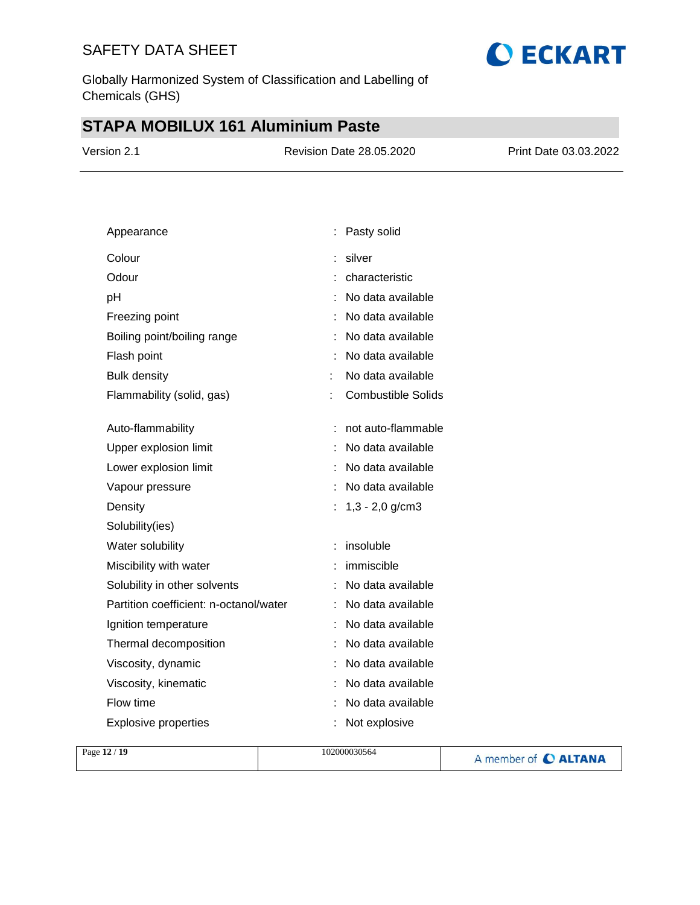Globally Harmonized System of Classification and Labelling of Chemicals (GHS)

# **STAPA MOBILUX 161 Aluminium Paste**

| Version 2.1 | <b>Revision Date 28.05.2020</b> | Print Date 03.03.2022 |
|-------------|---------------------------------|-----------------------|
|             |                                 |                       |

**O ECKART** 

| Appearance                             | Pasty solid               |
|----------------------------------------|---------------------------|
| Colour                                 | silver                    |
| Odour                                  | characteristic            |
| pH                                     | No data available         |
| Freezing point                         | No data available         |
| Boiling point/boiling range            | No data available         |
| Flash point                            | No data available         |
| <b>Bulk density</b>                    | No data available<br>t.   |
| Flammability (solid, gas)              | <b>Combustible Solids</b> |
|                                        |                           |
| Auto-flammability                      | not auto-flammable        |
| Upper explosion limit                  | No data available         |
| Lower explosion limit                  | No data available         |
| Vapour pressure                        | No data available         |
| Density                                | $1,3 - 2,0$ g/cm3         |
| Solubility(ies)                        |                           |
| Water solubility                       | insoluble<br>÷            |
| Miscibility with water                 | immiscible                |
| Solubility in other solvents           | No data available<br>t    |
| Partition coefficient: n-octanol/water | No data available         |
| Ignition temperature                   | No data available         |
| Thermal decomposition                  | No data available         |
| Viscosity, dynamic                     | No data available         |
| Viscosity, kinematic                   | No data available         |
| Flow time                              | No data available         |
| <b>Explosive properties</b>            | Not explosive             |

|  | Page 12 / 19 | 102000030564 | A member of C ALTANA |
|--|--------------|--------------|----------------------|
|--|--------------|--------------|----------------------|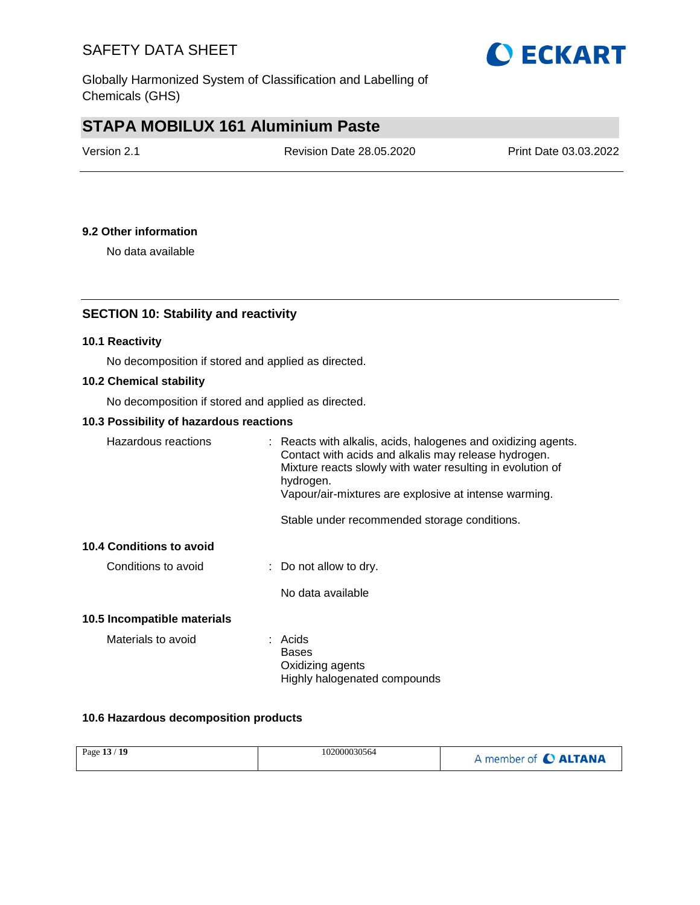

## **STAPA MOBILUX 161 Aluminium Paste**

| Version 2.1 | <b>Revision Date 28.05.2020</b> | Print Date 03.03.2022 |
|-------------|---------------------------------|-----------------------|
|             |                                 |                       |

### **9.2 Other information**

No data available

### **SECTION 10: Stability and reactivity**

### **10.1 Reactivity**

No decomposition if stored and applied as directed.

#### **10.2 Chemical stability**

No decomposition if stored and applied as directed.

#### **10.3 Possibility of hazardous reactions**

| Hazardous reactions             | : Reacts with alkalis, acids, halogenes and oxidizing agents.<br>Contact with acids and alkalis may release hydrogen.<br>Mixture reacts slowly with water resulting in evolution of<br>hydrogen.<br>Vapour/air-mixtures are explosive at intense warming. |
|---------------------------------|-----------------------------------------------------------------------------------------------------------------------------------------------------------------------------------------------------------------------------------------------------------|
|                                 | Stable under recommended storage conditions.                                                                                                                                                                                                              |
| <b>10.4 Conditions to avoid</b> |                                                                                                                                                                                                                                                           |
| Conditions to avoid             | $\therefore$ Do not allow to dry.                                                                                                                                                                                                                         |
|                                 | No data available                                                                                                                                                                                                                                         |
| 10.5 Incompatible materials     |                                                                                                                                                                                                                                                           |
| Materials to avoid              | : Acids<br>Bases<br>Oxidizing agents<br>Highly halogenated compounds                                                                                                                                                                                      |

### **10.6 Hazardous decomposition products**

|  | Page 13 / 19 | 102000030564 | A member of C ALTANA |
|--|--------------|--------------|----------------------|
|--|--------------|--------------|----------------------|

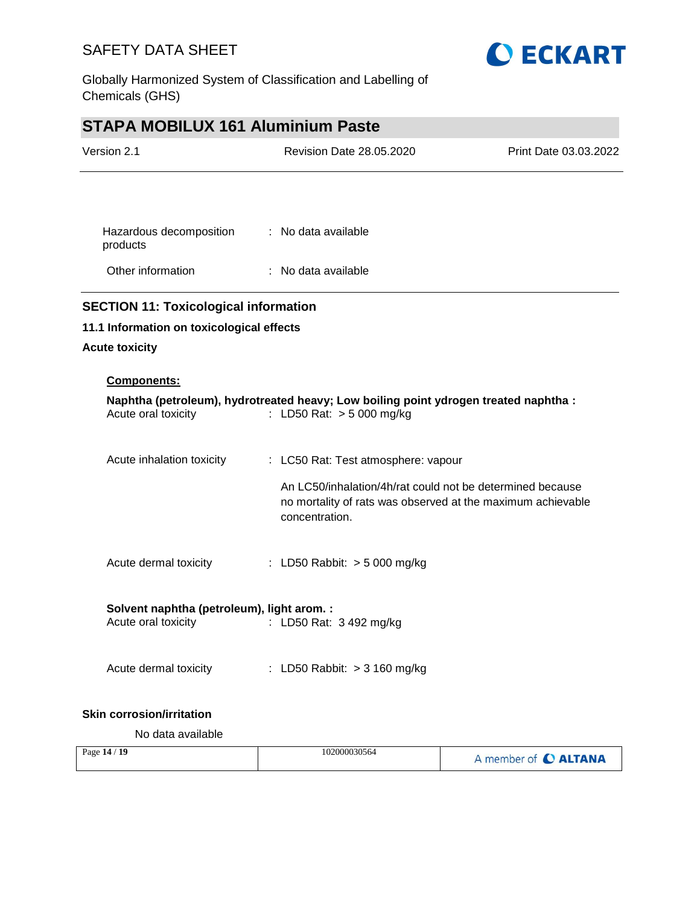

Globally Harmonized System of Classification and Labelling of Chemicals (GHS)

# **STAPA MOBILUX 161 Aluminium Paste**

| Version 2.1                                                       | <b>Revision Date 28.05.2020</b>                                                                                                            | Print Date 03.03.2022 |
|-------------------------------------------------------------------|--------------------------------------------------------------------------------------------------------------------------------------------|-----------------------|
|                                                                   |                                                                                                                                            |                       |
| Hazardous decomposition<br>products                               | : No data available                                                                                                                        |                       |
| Other information                                                 | $\therefore$ No data available                                                                                                             |                       |
| <b>SECTION 11: Toxicological information</b>                      |                                                                                                                                            |                       |
| 11.1 Information on toxicological effects                         |                                                                                                                                            |                       |
| <b>Acute toxicity</b>                                             |                                                                                                                                            |                       |
| <b>Components:</b>                                                |                                                                                                                                            |                       |
| Acute oral toxicity                                               | Naphtha (petroleum), hydrotreated heavy; Low boiling point ydrogen treated naphtha :<br>: LD50 Rat: > 5 000 mg/kg                          |                       |
| Acute inhalation toxicity                                         | : LC50 Rat: Test atmosphere: vapour                                                                                                        |                       |
|                                                                   | An LC50/inhalation/4h/rat could not be determined because<br>no mortality of rats was observed at the maximum achievable<br>concentration. |                       |
| Acute dermal toxicity                                             | : LD50 Rabbit: > 5 000 mg/kg                                                                                                               |                       |
| Solvent naphtha (petroleum), light arom. :<br>Acute oral toxicity | : LD50 Rat: 3 492 mg/kg                                                                                                                    |                       |
|                                                                   |                                                                                                                                            |                       |
| Acute dermal toxicity                                             | : LD50 Rabbit: > 3 160 mg/kg                                                                                                               |                       |
| <b>Skin corrosion/irritation</b>                                  |                                                                                                                                            |                       |

No data available

| Page $14/19$ | 102000030564 | A member of C ALTANA |
|--------------|--------------|----------------------|
|--------------|--------------|----------------------|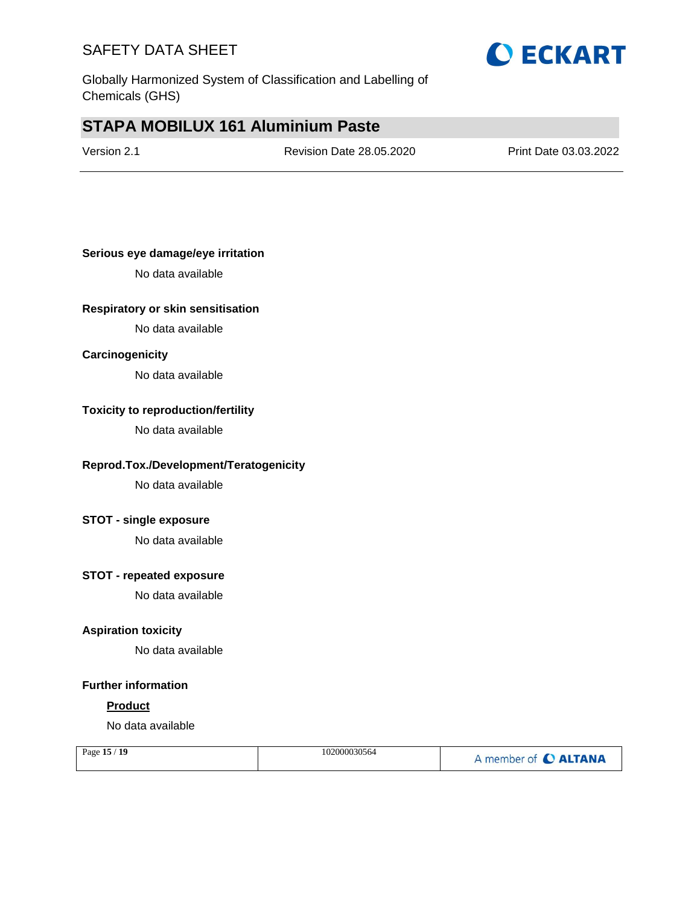

## **STAPA MOBILUX 161 Aluminium Paste**

Version 2.1 Revision Date 28.05.2020 Print Date 03.03.2022

### **Serious eye damage/eye irritation**

No data available

### **Respiratory or skin sensitisation**

No data available

### **Carcinogenicity**

No data available

#### **Toxicity to reproduction/fertility**

No data available

### **Reprod.Tox./Development/Teratogenicity**

No data available

### **STOT - single exposure**

No data available

### **STOT - repeated exposure**

No data available

### **Aspiration toxicity**

No data available

#### **Further information**

#### **Product**

No data available

| Page 15 / 19 | 102000030564 | A member of C ALTANA |
|--------------|--------------|----------------------|
|              |              |                      |

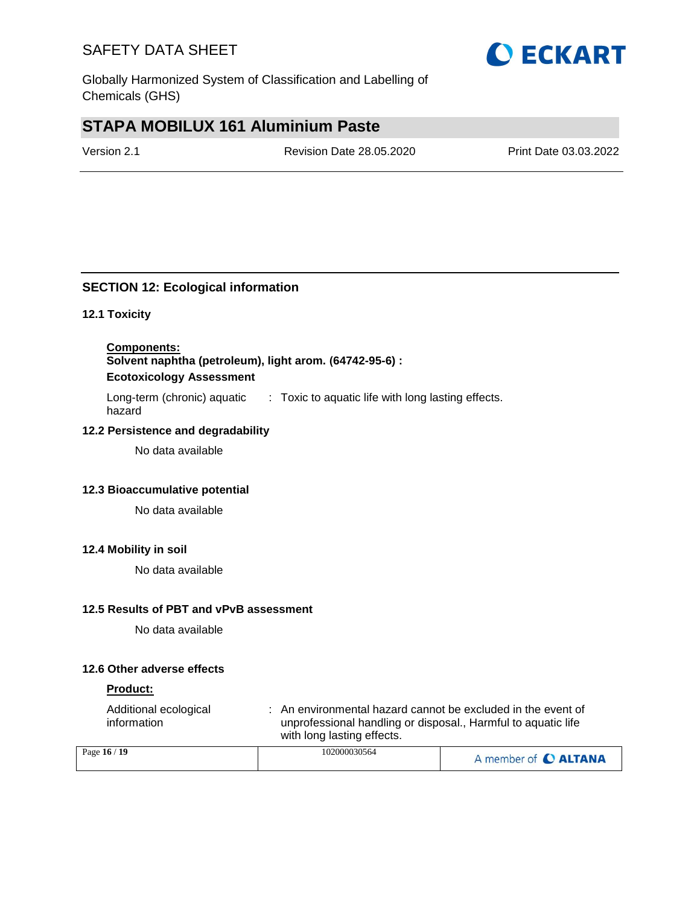

## **STAPA MOBILUX 161 Aluminium Paste**

Version 2.1 Revision Date 28.05.2020 Print Date 03.03.2022

### **SECTION 12: Ecological information**

### **12.1 Toxicity**

**Components: Solvent naphtha (petroleum), light arom. (64742-95-6) : Ecotoxicology Assessment**

Long-term (chronic) aquatic hazard : Toxic to aquatic life with long lasting effects.

### **12.2 Persistence and degradability**

No data available

### **12.3 Bioaccumulative potential**

No data available

### **12.4 Mobility in soil**

No data available

#### **12.5 Results of PBT and vPvB assessment**

No data available

### **12.6 Other adverse effects**

### **Product:**

| Additional ecological<br>information | : An environmental hazard cannot be excluded in the event of<br>unprofessional handling or disposal., Harmful to aquatic life<br>with long lasting effects. |  |
|--------------------------------------|-------------------------------------------------------------------------------------------------------------------------------------------------------------|--|
| 16 / 10 ه                            | 102000030564                                                                                                                                                |  |

| Page $16/19$ | 102000030564 | A member of C ALTANA |
|--------------|--------------|----------------------|
|--------------|--------------|----------------------|

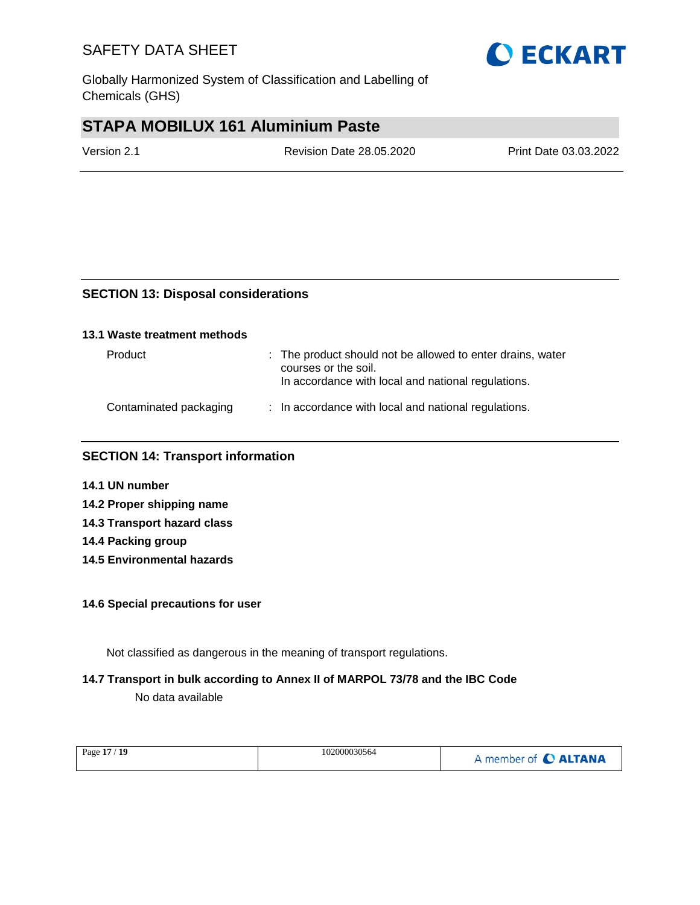Globally Harmonized System of Classification and Labelling of Chemicals (GHS)

## **STAPA MOBILUX 161 Aluminium Paste**

Version 2.1 Revision Date 28.05.2020 Print Date 03.03.2022

### **SECTION 13: Disposal considerations**

### **13.1 Waste treatment methods**

| Product                | : The product should not be allowed to enter drains, water<br>courses or the soil.<br>In accordance with local and national regulations. |
|------------------------|------------------------------------------------------------------------------------------------------------------------------------------|
| Contaminated packaging | : In accordance with local and national regulations.                                                                                     |

### **SECTION 14: Transport information**

- **14.1 UN number**
- **14.2 Proper shipping name 14.3 Transport hazard class**
- **14.4 Packing group**
- **14.5 Environmental hazards**

### **14.6 Special precautions for user**

Not classified as dangerous in the meaning of transport regulations.

### **14.7 Transport in bulk according to Annex II of MARPOL 73/78 and the IBC Code**

No data available

| Page 17 / 19 | 102000030564 | A member of C ALTANA |
|--------------|--------------|----------------------|
|--------------|--------------|----------------------|

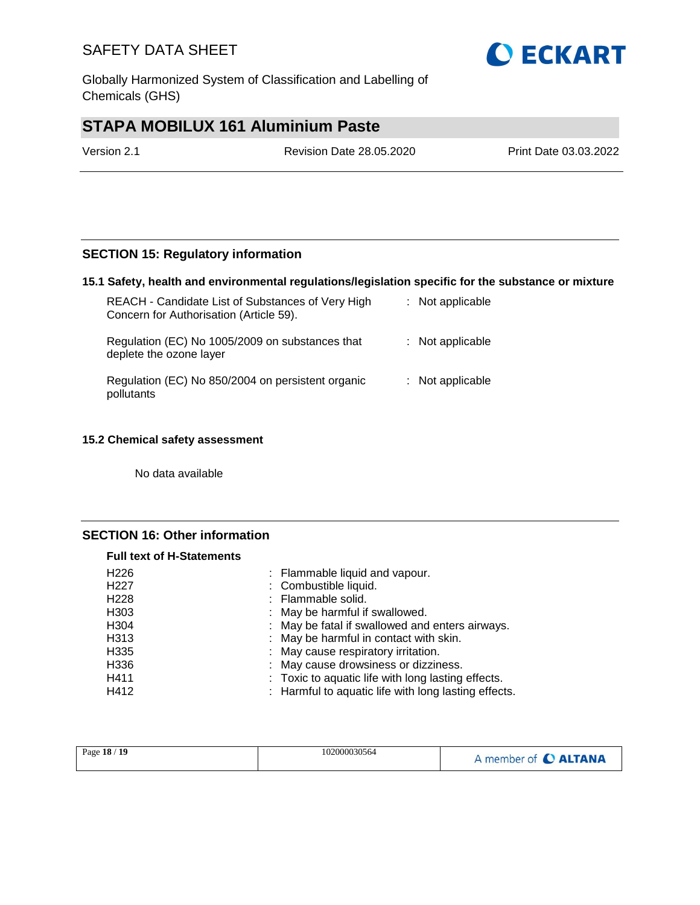Globally Harmonized System of Classification and Labelling of Chemicals (GHS)

# **STAPA MOBILUX 161 Aluminium Paste**

| Version 2.1 | <b>Revision Date 28.05.2020</b> | Print Date 03.03.2022 |
|-------------|---------------------------------|-----------------------|
|             |                                 |                       |

### **SECTION 15: Regulatory information**

### **15.1 Safety, health and environmental regulations/legislation specific for the substance or mixture**

| REACH - Candidate List of Substances of Very High<br>Concern for Authorisation (Article 59). | : Not applicable   |
|----------------------------------------------------------------------------------------------|--------------------|
| Regulation (EC) No 1005/2009 on substances that<br>deplete the ozone layer                   | $:$ Not applicable |
| Regulation (EC) No 850/2004 on persistent organic<br>pollutants                              | $:$ Not applicable |

### **15.2 Chemical safety assessment**

No data available

### **SECTION 16: Other information**

| <b>Full text of H-Statements</b> |                                                      |
|----------------------------------|------------------------------------------------------|
| H <sub>226</sub>                 | : Flammable liquid and vapour.                       |
| H <sub>227</sub>                 | : Combustible liquid.                                |
| H <sub>228</sub>                 | : Flammable solid.                                   |
| H <sub>303</sub>                 | : May be harmful if swallowed.                       |
| H304                             | : May be fatal if swallowed and enters airways.      |
| H313                             | : May be harmful in contact with skin.               |
| H335                             | : May cause respiratory irritation.                  |
| H336                             | : May cause drowsiness or dizziness.                 |
| H411                             | : Toxic to aquatic life with long lasting effects.   |
| H412                             | : Harmful to aquatic life with long lasting effects. |

| Page 18 / 19 | 102000030564 | A member of C ALTANA |
|--------------|--------------|----------------------|
|--------------|--------------|----------------------|